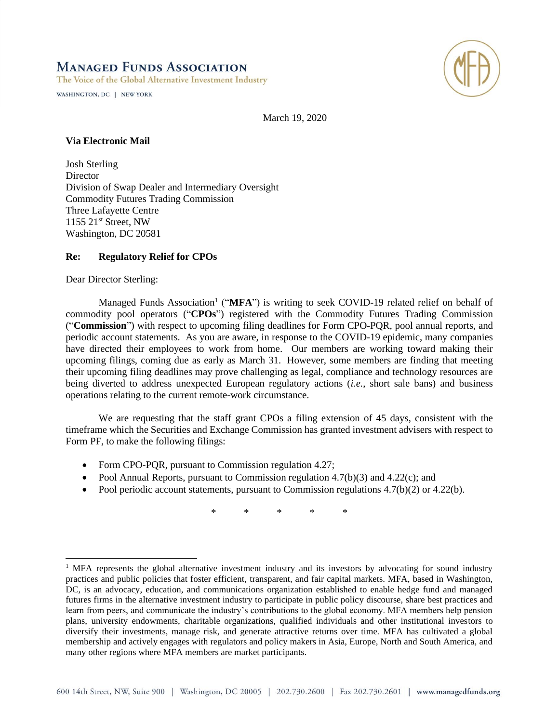## **MANAGED FUNDS ASSOCIATION**

The Voice of the Global Alternative Investment Industry

WASHINGTON, DC | NEW YORK



March 19, 2020

## **Via Electronic Mail**

Josh Sterling Director Division of Swap Dealer and Intermediary Oversight Commodity Futures Trading Commission Three Lafayette Centre 1155 21<sup>st</sup> Street, NW Washington, DC 20581

## **Re: Regulatory Relief for CPOs**

Dear Director Sterling:

Managed Funds Association<sup>1</sup> ("MFA") is writing to seek COVID-19 related relief on behalf of commodity pool operators ("**CPOs**") registered with the Commodity Futures Trading Commission ("**Commission**") with respect to upcoming filing deadlines for Form CPO-PQR, pool annual reports, and periodic account statements. As you are aware, in response to the COVID-19 epidemic, many companies have directed their employees to work from home. Our members are working toward making their upcoming filings, coming due as early as March 31. However, some members are finding that meeting their upcoming filing deadlines may prove challenging as legal, compliance and technology resources are being diverted to address unexpected European regulatory actions (*i.e.*, short sale bans) and business operations relating to the current remote-work circumstance.

We are requesting that the staff grant CPOs a filing extension of 45 days, consistent with the timeframe which the Securities and Exchange Commission has granted investment advisers with respect to Form PF, to make the following filings:

- Form CPO-PQR, pursuant to Commission regulation 4.27;
- Pool Annual Reports, pursuant to Commission regulation 4.7(b)(3) and 4.22(c); and
- Pool periodic account statements, pursuant to Commission regulations  $4.7(b)(2)$  or  $4.22(b)$ .

\* \* \* \* \*

<sup>&</sup>lt;sup>1</sup> MFA represents the global alternative investment industry and its investors by advocating for sound industry practices and public policies that foster efficient, transparent, and fair capital markets. MFA, based in Washington, DC, is an advocacy, education, and communications organization established to enable hedge fund and managed futures firms in the alternative investment industry to participate in public policy discourse, share best practices and learn from peers, and communicate the industry's contributions to the global economy. MFA members help pension plans, university endowments, charitable organizations, qualified individuals and other institutional investors to diversify their investments, manage risk, and generate attractive returns over time. MFA has cultivated a global membership and actively engages with regulators and policy makers in Asia, Europe, North and South America, and many other regions where MFA members are market participants.